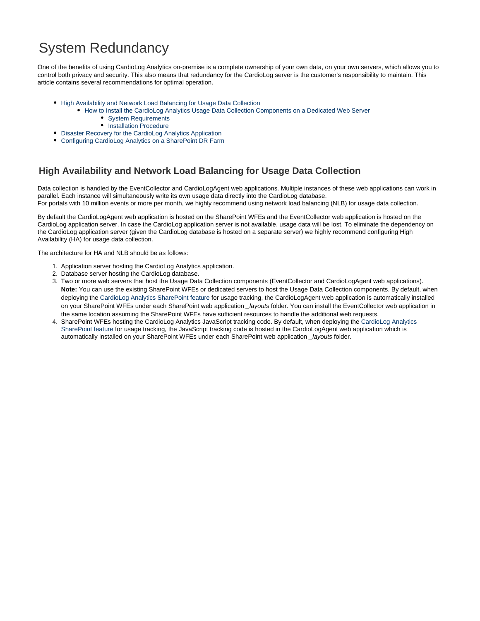# System Redundancy

One of the benefits of using CardioLog Analytics on-premise is a complete ownership of your own data, on your own servers, which allows you to control both privacy and security. This also means that redundancy for the CardioLog server is the customer's responsibility to maintain. This article contains several recommendations for optimal operation.

- [High Availability and Network Load Balancing for Usage Data Collection](#page-0-0)
	- [How to Install the CardioLog Analytics Usage Data Collection Components on a Dedicated Web Server](#page-1-0)
		- [System Requirements](#page-1-1)
		- [Installation Procedure](#page-2-0)
- [Disaster Recovery for the CardioLog Analytics Application](#page-3-0)
- [Configuring CardioLog Analytics on a SharePoint DR Farm](#page-3-1)

## <span id="page-0-0"></span>**High Availability and Network Load Balancing for Usage Data Collection**

Data collection is handled by the EventCollector and CardioLogAgent web applications. Multiple instances of these web applications can work in parallel. Each instance will simultaneously write its own usage data directly into the CardioLog database. For portals with 10 million events or more per month, we highly recommend using network load balancing (NLB) for usage data collection.

By default the CardioLogAgent web application is hosted on the SharePoint WFEs and the EventCollector web application is hosted on the CardioLog application server. In case the CardioLog application server is not available, usage data will be lost. To eliminate the dependency on the CardioLog application server (given the CardioLog database is hosted on a separate server) we highly recommend configuring High Availability (HA) for usage data collection.

The architecture for HA and NLB should be as follows:

- 1. Application server hosting the CardioLog Analytics application.
- 2. Database server hosting the CardioLog database.
- 3. Two or more web servers that host the Usage Data Collection components (EventCollector and CardioLogAgent web applications). **Note:** You can use the existing SharePoint WFEs or dedicated servers to host the Usage Data Collection components. By default, when deploying the [CardioLog Analytics SharePoint feature](https://kb.intlock.com/display/Support/Configuring+Usage+Tracking+and+Reporting+for+SharePoint+On-Premise#ConfiguringUsageTrackingandReportingforSharePointOn-Premise-deploysharepoint) for usage tracking, the CardioLogAgent web application is automatically installed on your SharePoint WFEs under each SharePoint web application \_layouts folder. You can install the EventCollector web application in the same location assuming the SharePoint WFEs have sufficient resources to handle the additional web requests.
- 4. SharePoint WFEs hosting the CardioLog Analytics JavaScript tracking code. By default, when deploying the [CardioLog Analytics](https://kb.intlock.com/display/Support/Configuring+Usage+Tracking+and+Reporting+for+SharePoint+On-Premise#ConfiguringUsageTrackingandReportingforSharePointOn-Premise-deploysharepoint) [SharePoint feature](https://kb.intlock.com/display/Support/Configuring+Usage+Tracking+and+Reporting+for+SharePoint+On-Premise#ConfiguringUsageTrackingandReportingforSharePointOn-Premise-deploysharepoint) for usage tracking, the JavaScript tracking code is hosted in the CardioLogAgent web application which is automatically installed on your SharePoint WFEs under each SharePoint web application \_layouts folder.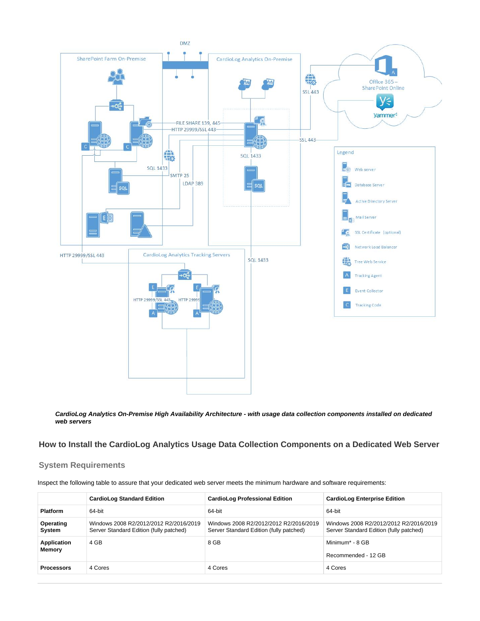

**CardioLog Analytics On-Premise High Availability Architecture - with usage data collection components installed on dedicated web servers**

### <span id="page-1-0"></span>**How to Install the CardioLog Analytics Usage Data Collection Components on a Dedicated Web Server**

#### <span id="page-1-2"></span><span id="page-1-1"></span>**System Requirements**

Inspect the following table to assure that your dedicated web server meets the minimum hardware and software requirements:

|                       | <b>CardioLog Standard Edition</b>                                                 | <b>CardioLog Professional Edition</b>                                             | <b>CardioLog Enterprise Edition</b>                                               |
|-----------------------|-----------------------------------------------------------------------------------|-----------------------------------------------------------------------------------|-----------------------------------------------------------------------------------|
| <b>Platform</b>       | 64-bit                                                                            | 64-bit                                                                            | 64-bit                                                                            |
| Operating<br>System   | Windows 2008 R2/2012/2012 R2/2016/2019<br>Server Standard Edition (fully patched) | Windows 2008 R2/2012/2012 R2/2016/2019<br>Server Standard Edition (fully patched) | Windows 2008 R2/2012/2012 R2/2016/2019<br>Server Standard Edition (fully patched) |
| Application<br>Memory | 4 GB                                                                              | 8 GB                                                                              | Minimum* - 8 GB<br>Recommended - 12 GB                                            |
| <b>Processors</b>     | 4 Cores                                                                           | 4 Cores                                                                           | 4 Cores                                                                           |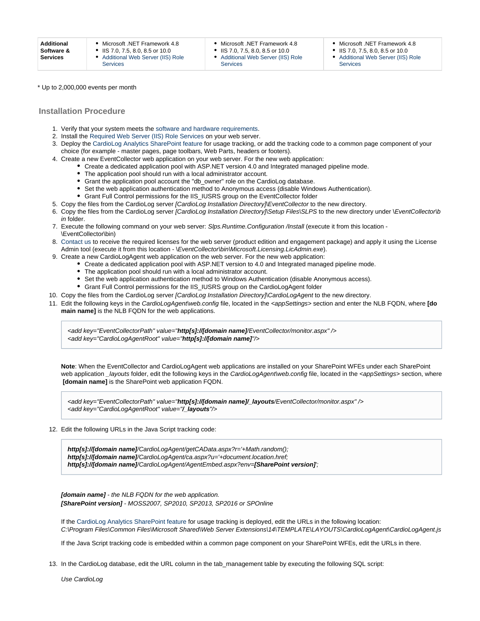- $\bullet$ [Additional Web Server \(IIS\) Role](http://kb.intlock.com/display/Support/Required+Web+Server+%28IIS%29+Role+Services) [Services](http://kb.intlock.com/display/Support/Required+Web+Server+%28IIS%29+Role+Services)
- Microsoft .NET Framework 4.8 IIS 7.0, 7.5, 8.0, 8.5 or 10.0
- $\bullet$ [Additional Web Server \(IIS\) Role](http://kb.intlock.com/display/Support/Required+Web+Server+%28IIS%29+Role+Services)

[Services](http://kb.intlock.com/display/Support/Required+Web+Server+%28IIS%29+Role+Services)

- Microsoft .NET Framework 4.8 IIS 7.0, 7.5, 8.0, 8.5 or 10.0
- [Additional Web Server \(IIS\) Role](http://kb.intlock.com/display/Support/Required+Web+Server+%28IIS%29+Role+Services) [Services](http://kb.intlock.com/display/Support/Required+Web+Server+%28IIS%29+Role+Services)

\* Up to 2,000,000 events per month

#### <span id="page-2-0"></span>**Installation Procedure**

- 1. Verify that your system meets the [software and hardware requirements.](#page-1-2)
- 2. Install the [Required Web Server \(IIS\) Role Services](https://kb.intlock.com/display/Support/Required+Web+Server+%28IIS%29+Role+Services) on your web server.
- 3. Deploy the [CardioLog Analytics SharePoint feature](http://kb.intlock.com/display/Support/%27CardioLog+Analytics%27+SharePoint+Feature+Manual+Installation+Procedure) for usage tracking, or add the tracking code to a common page component of your choice (for example - master pages, page toolbars, Web Parts, headers or footers).
- 4. Create a new EventCollector web application on your web server. For the new web application:
	- Create a dedicated application pool with ASP.NET version 4.0 and Integrated managed pipeline mode.
	- The application pool should run with a local administrator account.
	- Grant the application pool account the "db\_owner" role on the CardioLog database.
	- Set the web application authentication method to Anonymous access (disable Windows Authentication).
	- Grant Full Control permissions for the IIS\_IUSRS group on the EventCollector folder
- 5. Copy the files from the CardioLog server [CardioLog Installation Directory]\EventCollector to the new directory.
- 6. Copy the files from the CardioLog server *[CardioLog Installation Directory]\Setup Files\SLPS* to the new directory under \*EventCollector\b* in folder.
- 7. Execute the following command on your web server: Slps.Runtime.Configuration /Install (execute it from this location -\EventCollector\bin)
- 8. [Contact us](http://support.intlock.com/hc/en-us/requests/new) to receive the required licenses for the web server (product edition and engagement package) and apply it using the License Admin tool (execute it from this location - \EventCollector\bin\Microsoft.Licensing.LicAdmin.exe).
- 9. Create a new CardioLogAgent web application on the web server. For the new web application:
	- Create a dedicated application pool with ASP.NET version to 4.0 and Integrated managed pipeline mode.
	- The application pool should run with a local administrator account.
	- Set the web application authentication method to Windows Authentication (disable Anonymous access).
	- Grant Full Control permissions for the IIS\_IUSRS group on the CardioLogAgent folder
- 10. Copy the files from the CardioLog server [CardioLog Installation Directory]\CardioLogAgent to the new directory.
- 11. Edit the following keys in the CardioLogAgent\web.config file, located in the <appSettings> section and enter the NLB FQDN, where **[do main name]** is the NLB FQDN for the web applications.

<add key="EventCollectorPath" value="**http[s]://[domain name]**/EventCollector/monitor.aspx" /> <add key="CardioLogAgentRoot" value="**http[s]://[domain name]**"/>

**Note**: When the EventCollector and CardioLogAgent web applications are installed on your SharePoint WFEs under each SharePoint web application \_layouts folder, edit the following keys in the CardioLogAgent\web.config file, located in the <appSettings> section, where  **[domain name]** is the SharePoint web application FQDN.

<add key="EventCollectorPath" value="**http[s]://[domain name]/\_layouts**/EventCollector/monitor.aspx" /> <add key="CardioLogAgentRoot" value="**/\_layouts**"/>

12. Edit the following URLs in the Java Script tracking code:

**http[s]://[domain name]**/CardioLogAgent/getCAData.aspx?r='+Math.random(); **http[s]://[domain name]**/CardioLogAgent/ca.aspx?u='+document.location.href; **http[s]://[domain name]**/CardioLogAgent/AgentEmbed.aspx?env=**[SharePoint version]**';

**[domain name]** - the NLB FQDN for the web application. **[SharePoint version]** - MOSS2007, SP2010, SP2013, SP2016 or SPOnline

If the [CardioLog Analytics SharePoint feature](https://kb.intlock.com/display/Support/Configuring+Usage+Tracking+and+Reporting+for+SharePoint+On-Premise#ConfiguringUsageTrackingandReportingforSharePointOn-Premise-deploysharepoint) for usage tracking is deployed, edit the URLs in the following location: C:\Program Files\Common Files\Microsoft Shared\Web Server Extensions\14\TEMPLATE\LAYOUTS\CardioLogAgent\CardioLogAgent.js

If the Java Script tracking code is embedded within a common page component on your SharePoint WFEs, edit the URLs in there.

13. In the CardioLog database, edit the URL column in the tab\_management table by executing the following SQL script:

Use CardioLog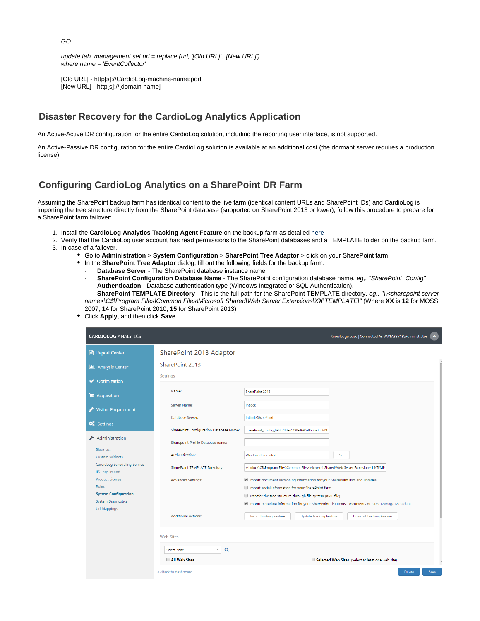update tab\_management set url = replace (url, '[Old URL]', '[New URL]') where name = 'EventCollector'

[Old URL] - http[s]://CardioLog-machine-name:port [New URL] - http[s]://[domain name]

## <span id="page-3-0"></span>**Disaster Recovery for the CardioLog Analytics Application**

An Active-Active DR configuration for the entire CardioLog solution, including the reporting user interface, is not supported.

An Active-Passive DR configuration for the entire CardioLog solution is available at an additional cost (the dormant server requires a production license).

## <span id="page-3-1"></span>**Configuring CardioLog Analytics on a SharePoint DR Farm**

Assuming the SharePoint backup farm has identical content to the live farm (identical content URLs and SharePoint IDs) and CardioLog is importing the tree structure directly from the SharePoint database (supported on SharePoint 2013 or lower), follow this procedure to prepare for a SharePoint farm failover:

- 1. Install the **CardioLog Analytics Tracking Agent Feature** on the backup farm as detailed [here](https://kb.intlock.com/display/Support/%27CardioLog+Analytics%27+SharePoint+Feature+Manual+Installation+Procedure)
- 2. Verify that the CardioLog user account has read permissions to the SharePoint databases and a TEMPLATE folder on the backup farm. 3. In case of a failover,
	- Go to **Administration** > **System Configuration** > **SharePoint Tree Adaptor** > click on your SharePoint farm
		- In the **SharePoint Tree Adaptor** dialog, fill out the following fields for the backup farm:
			- Database Server The SharePoint database instance name.
			- **SharePoint Configuration Database Name** The SharePoint configuration database name. eg,. "SharePoint\_Config"
			- **Authentication**  Database authentication type (Windows Integrated or SQL Authentication).

SharePoint TEMPLATE Directory - This is the full path for the SharePoint TEMPLATE directory. eg.. "\\<sharepoint server name>\C\$\Program Files\Common Files\Microsoft Shared\Web Server Extensions\X**X**\TEMPLATE\" (Where **XX** is **12** for MOSS 2007; **14** for SharePoint 2010; **15** for SharePoint 2013)

Click **Apply**, and then click **Save**.

| <b>CARDIOLOG ANALYTICS</b>                             |                                                                              | Knowledge base   Connected As VM1A3B71E\Administrator                                                                                                            | $\blacktriangle$ |
|--------------------------------------------------------|------------------------------------------------------------------------------|------------------------------------------------------------------------------------------------------------------------------------------------------------------|------------------|
| Report Center                                          | SharePoint 2013 Adaptor                                                      |                                                                                                                                                                  |                  |
| <b>II</b> Analysis Center                              | SharePoint 2013                                                              |                                                                                                                                                                  |                  |
| <b>◆</b> Optimization                                  | Settings                                                                     |                                                                                                                                                                  |                  |
| $\blacktriangleright$ Acquisition                      | Name:                                                                        | SharePoint 2013                                                                                                                                                  |                  |
| <b>Visitor Engagement</b>                              | Server Name:                                                                 | Intlock                                                                                                                                                          |                  |
| <b>C</b> <sub>6</sub> Settings                         | Database Server:                                                             | Intlock\SharePoint                                                                                                                                               |                  |
| Administration                                         | SharePoint Configuration Database Name:                                      | SharePoint_Config_b93c248e-4490-4695-8666-06f3d97                                                                                                                |                  |
| <b>Black List</b>                                      | Sharepoint Profile Database name:                                            |                                                                                                                                                                  |                  |
| <b>Custom Widgets</b>                                  | Authentication:                                                              | Windows Integrated<br>Set                                                                                                                                        |                  |
| CardioLog Scheduling Service<br><b>IIS Logs Import</b> | SharePoint TEMPLATE Directory:                                               | \\Intlock\C\$\Program Files\Common Files\Microsoft Shared\Web Server Extensions\15\TEMP                                                                          |                  |
| <b>Product License</b>                                 | <b>Advanced Settings:</b>                                                    | Import document versioning information for your SharePoint lists and libraries                                                                                   |                  |
| Roles<br><b>System Configuration</b>                   |                                                                              | Import social information for your SharePoint farm                                                                                                               |                  |
| <b>System Diagnostics</b>                              |                                                                              | Transfer the tree structure through file system (XML file)<br>no Import metadata information for your SharePoint List Items, Documents or Sites. Manage Metadata |                  |
| <b>Url Mappings</b>                                    | <b>Additional Actions:</b>                                                   | <b>Install Tracking Feature</b><br><b>Update Tracking Feature</b><br><b>Uninstall Tracking Feature</b>                                                           |                  |
| <b>Web Sites</b>                                       |                                                                              |                                                                                                                                                                  |                  |
|                                                        | $\alpha$<br>Select Zone<br>$\mathbf{v}$                                      |                                                                                                                                                                  |                  |
|                                                        | All Web Sites                                                                | Selected Web Sites (Select at least one web site)                                                                                                                |                  |
|                                                        | < <back dashboard<="" th="" to=""><th><b>Delete</b></th><th>Save</th></back> | <b>Delete</b>                                                                                                                                                    | Save             |

GO